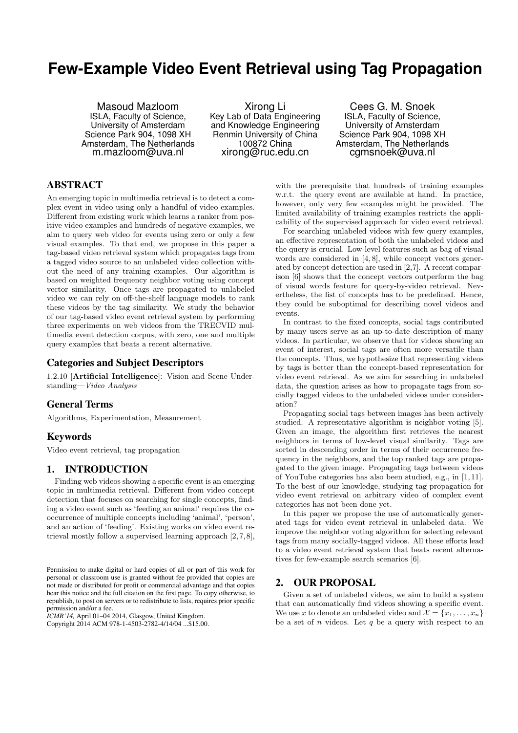# **Few-Example Video Event Retrieval using Tag Propagation**

Masoud Mazloom ISLA, Faculty of Science, University of Amsterdam Science Park 904, 1098 XH Amsterdam, The Netherlands m.mazloom@uva.nl

Xirong Li Key Lab of Data Engineering and Knowledge Engineering Renmin University of China 100872 China xirong@ruc.edu.cn

Cees G. M. Snoek ISLA, Faculty of Science, University of Amsterdam Science Park 904, 1098 XH Amsterdam, The Netherlands cgmsnoek@uva.nl

# ABSTRACT

An emerging topic in multimedia retrieval is to detect a complex event in video using only a handful of video examples. Different from existing work which learns a ranker from positive video examples and hundreds of negative examples, we aim to query web video for events using zero or only a few visual examples. To that end, we propose in this paper a tag-based video retrieval system which propagates tags from a tagged video source to an unlabeled video collection without the need of any training examples. Our algorithm is based on weighted frequency neighbor voting using concept vector similarity. Once tags are propagated to unlabeled video we can rely on off-the-shelf language models to rank these videos by the tag similarity. We study the behavior of our tag-based video event retrieval system by performing three experiments on web videos from the TRECVID multimedia event detection corpus, with zero, one and multiple query examples that beats a recent alternative.

# Categories and Subject Descriptors

1.2.10 [Artificial Intelligence]: Vision and Scene Understanding—*Video Analysis*

# General Terms

Algorithms, Experimentation, Measurement

# Keywords

Video event retrieval, tag propagation

# 1. INTRODUCTION

Finding web videos showing a specific event is an emerging topic in multimedia retrieval. Different from video concept detection that focuses on searching for single concepts, finding a video event such as 'feeding an animal' requires the cooccurrence of multiple concepts including 'animal', 'person', and an action of 'feeding'. Existing works on video event retrieval mostly follow a supervised learning approach  $[2, 7, 8]$ ,

*ICMR'14,* April 01–04 2014, Glasgow, United Kingdom. Copyright 2014 ACM 978-1-4503-2782-4/14/04 ...\$15.00.

with the prerequisite that hundreds of training examples w.r.t. the query event are available at hand. In practice, however, only very few examples might be provided. The limited availability of training examples restricts the applicability of the supervised approach for video event retrieval.

For searching unlabeled videos with few query examples, an effective representation of both the unlabeled videos and the query is crucial. Low-level features such as bag of visual words are considered in [4, 8], while concept vectors generated by concept detection are used in [2,7]. A recent comparison [6] shows that the concept vectors outperform the bag of visual words feature for query-by-video retrieval. Nevertheless, the list of concepts has to be predefined. Hence, they could be suboptimal for describing novel videos and events.

In contrast to the fixed concepts, social tags contributed by many users serve as an up-to-date description of many videos. In particular, we observe that for videos showing an event of interest, social tags are often more versatile than the concepts. Thus, we hypothesize that representing videos by tags is better than the concept-based representation for video event retrieval. As we aim for searching in unlabeled data, the question arises as how to propagate tags from socially tagged videos to the unlabeled videos under consideration?

Propagating social tags between images has been actively studied. A representative algorithm is neighbor voting [5]. Given an image, the algorithm first retrieves the nearest neighbors in terms of low-level visual similarity. Tags are sorted in descending order in terms of their occurrence frequency in the neighbors, and the top ranked tags are propagated to the given image. Propagating tags between videos of YouTube categories has also been studied, e.g., in [1, 11]. To the best of our knowledge, studying tag propagation for video event retrieval on arbitrary video of complex event categories has not been done yet.

In this paper we propose the use of automatically generated tags for video event retrieval in unlabeled data. We improve the neighbor voting algorithm for selecting relevant tags from many socially-tagged videos. All these efforts lead to a video event retrieval system that beats recent alternatives for few-example search scenarios [6].

# 2. OUR PROPOSAL

Given a set of unlabeled videos, we aim to build a system that can automatically find videos showing a specific event. We use *x* to denote an unlabeled video and  $\mathcal{X} = \{x_1, \ldots, x_n\}$ be a set of *n* videos. Let *q* be a query with respect to an

Permission to make digital or hard copies of all or part of this work for personal or classroom use is granted without fee provided that copies are not made or distributed for profit or commercial advantage and that copies bear this notice and the full citation on the first page. To copy otherwise, to republish, to post on servers or to redistribute to lists, requires prior specific permission and/or a fee.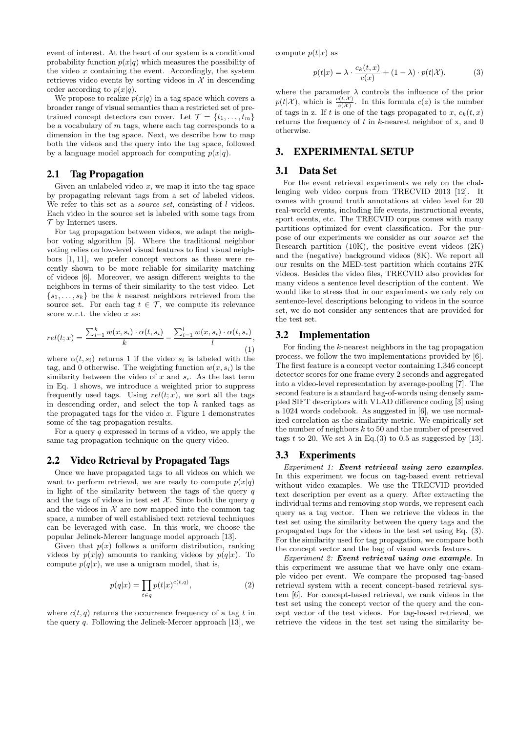event of interest. At the heart of our system is a conditional probability function  $p(x|q)$  which measures the possibility of the video *x* containing the event. Accordingly, the system retrieves video events by sorting videos in  $X$  in descending order according to  $p(x|q)$ .

We propose to realize  $p(x|q)$  in a tag space which covers a broader range of visual semantics than a restricted set of pretrained concept detectors can cover. Let  $\mathcal{T} = \{t_1, \ldots, t_m\}$ be a vocabulary of *m* tags, where each tag corresponds to a dimension in the tag space. Next, we describe how to map both the videos and the query into the tag space, followed by a language model approach for computing  $p(x|q)$ .

### 2.1 Tag Propagation

Given an unlabeled video  $x$ , we map it into the tag space by propagating relevant tags from a set of labeled videos. We refer to this set as a *source set*, consisting of *l* videos. Each video in the source set is labeled with some tags from *T* by Internet users.

For tag propagation between videos, we adapt the neighbor voting algorithm [5]. Where the traditional neighbor voting relies on low-level visual features to find visual neighbors [1, 11], we prefer concept vectors as these were recently shown to be more reliable for similarity matching of videos [6]. Moreover, we assign different weights to the neighbors in terms of their similarity to the test video. Let  ${s_1, \ldots, s_k}$  be the *k* nearest neighbors retrieved from the source set. For each tag  $t \in \mathcal{T}$ , we compute its relevance score w.r.t. the video *x* as:

$$
rel(t; x) = \frac{\sum_{i=1}^{k} w(x, s_i) \cdot \alpha(t, s_i)}{k} - \frac{\sum_{i=1}^{l} w(x, s_i) \cdot \alpha(t, s_i)}{l},
$$
\n
$$
(1)
$$

where  $\alpha(t, s_i)$  returns 1 if the video  $s_i$  is labeled with the tag, and 0 otherwise. The weighting function  $w(x, s_i)$  is the similarity between the video of *x* and *si*. As the last term in Eq. 1 shows, we introduce a weighted prior to suppress frequently used tags. Using  $rel(t; x)$ , we sort all the tags in descending order, and select the top *h* ranked tags as the propagated tags for the video *x*. Figure 1 demonstrates some of the tag propagation results.

For a query *q* expressed in terms of a video, we apply the same tag propagation technique on the query video.

#### 2.2 Video Retrieval by Propagated Tags

Once we have propagated tags to all videos on which we want to perform retrieval, we are ready to compute  $p(x|q)$ in light of the similarity between the tags of the query *q* and the tags of videos in test set  $\mathcal{X}$ . Since both the query *q* and the videos in  $X$  are now mapped into the common tag space, a number of well established text retrieval techniques can be leveraged with ease. In this work, we choose the popular Jelinek-Mercer language model approach [13].

Given that  $p(x)$  follows a uniform distribution, ranking videos by  $p(x|q)$  amounts to ranking videos by  $p(q|x)$ . To compute  $p(q|x)$ , we use a unigram model, that is,

$$
p(q|x) = \prod_{t \in q} p(t|x)^{c(t,q)},\tag{2}
$$

where  $c(t, q)$  returns the occurrence frequency of a tag  $t$  in the query *q*. Following the Jelinek-Mercer approach [13], we compute  $p(t|x)$  as

$$
p(t|x) = \lambda \cdot \frac{c_k(t,x)}{c(x)} + (1 - \lambda) \cdot p(t|\mathcal{X}),\tag{3}
$$

where the parameter  $\lambda$  controls the influence of the prior  $p(t|\mathcal{X})$ , which is  $\frac{c(t,\mathcal{X})}{c(\mathcal{X})}$ . In this formula  $c(z)$  is the number of tags in z. If *t* is one of the tags propagated to *x*,  $c_k(t, x)$ returns the frequency of *t* in *k*-nearest neighbor of x, and 0 otherwise.

# 3. EXPERIMENTAL SETUP

# 3.1 Data Set

For the event retrieval experiments we rely on the challenging web video corpus from TRECVID 2013 [12]. It comes with ground truth annotations at video level for 20 real-world events, including life events, instructional events, sport events, etc. The TRECVID corpus comes with many partitions optimized for event classification. For the purpose of our experiments we consider as our *source set* the Research partition (10K), the positive event videos (2K) and the (negative) background videos (8K). We report all our results on the MED-test partition which contains 27K videos. Besides the video files, TRECVID also provides for many videos a sentence level description of the content. We would like to stress that in our experiments we only rely on sentence-level descriptions belonging to videos in the source set, we do not consider any sentences that are provided for the test set.

#### 3.2 Implementation

For finding the *k*-nearest neighbors in the tag propagation process, we follow the two implementations provided by [6]. The first feature is a concept vector containing 1,346 concept detector scores for one frame every 2 seconds and aggregated into a video-level representation by average-pooling [7]. The second feature is a standard bag-of-words using densely sampled SIFT descriptors with VLAD difference coding [3] using a 1024 words codebook. As suggested in [6], we use normalized correlation as the similarity metric. We empirically set the number of neighbors *k* to 50 and the number of preserved tags t to 20. We set  $\lambda$  in Eq.(3) to 0.5 as suggested by [13].

#### 3.3 Experiments

*Experiment 1: Event retrieval using zero examples*. In this experiment we focus on tag-based event retrieval without video examples. We use the TRECVID provided text description per event as a query. After extracting the individual terms and removing stop words, we represent each query as a tag vector. Then we retrieve the videos in the test set using the similarity between the query tags and the propagated tags for the videos in the test set using Eq. (3). For the similarity used for tag propagation, we compare both the concept vector and the bag of visual words features.

*Experiment 2: Event retrieval using one example*. In this experiment we assume that we have only one example video per event. We compare the proposed tag-based retrieval system with a recent concept-based retrieval system [6]. For concept-based retrieval, we rank videos in the test set using the concept vector of the query and the concept vector of the test videos. For tag-based retrieval, we retrieve the videos in the test set using the similarity be-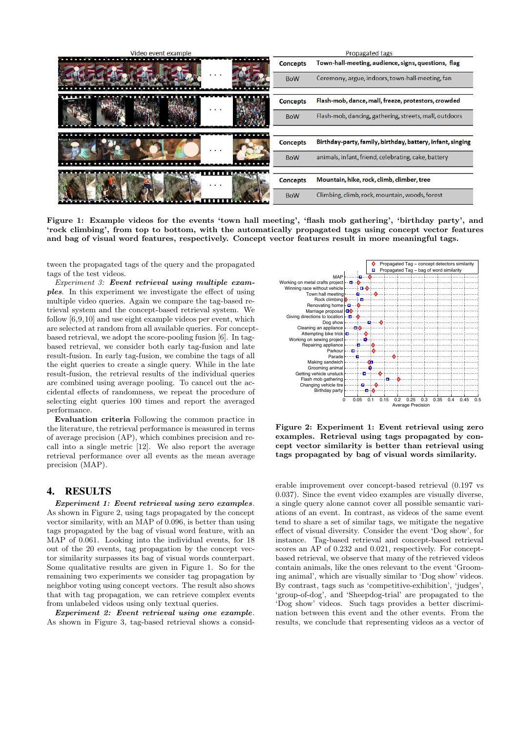| Video event example |                 | Propagated tags                                            |
|---------------------|-----------------|------------------------------------------------------------|
|                     | <b>Concepts</b> | Town-hall-meeting, audience, signs, questions, flag        |
|                     | <b>BoW</b>      | Ceremony, argue, indoors, town-hall-meeting, fan           |
| $\cdots$            | Concepts        | Flash-mob, dance, mall, freeze, protestors, crowded        |
|                     | <b>BoW</b>      | Flash-mob, dancing, gathering, streets, mall, outdoors     |
| $\cdots$            | <b>Concepts</b> | Birthday-party, family, birthday, battery, infant, singing |
|                     | <b>BoW</b>      | animals, infant, friend, celebrating, cake, battery        |
| .                   | <b>Concepts</b> | Mountain, hike, rock, climb, climber, tree                 |
|                     | <b>BoW</b>      | Climbing, climb, rock, mountain, woods, forest             |

Figure 1: Example videos for the events 'town hall meeting', 'flash mob gathering', 'birthday party', and 'rock climbing', from top to bottom, with the automatically propagated tags using concept vector features and bag of visual word features, respectively. Concept vector features result in more meaningful tags.

tween the propagated tags of the query and the propagated tags of the test videos.

*Experiment 3: Event retrieval using multiple examples*. In this experiment we investigate the effect of using multiple video queries. Again we compare the tag-based retrieval system and the concept-based retrieval system. We follow [6,9,10] and use eight example videos per event, which are selected at random from all available queries. For conceptbased retrieval, we adopt the score-pooling fusion [6]. In tagbased retrieval, we consider both early tag-fusion and late result-fusion. In early tag-fusion, we combine the tags of all the eight queries to create a single query. While in the late result-fusion, the retrieval results of the individual queries are combined using average pooling. To cancel out the accidental effects of randomness, we repeat the procedure of selecting eight queries 100 times and report the averaged performance.

Evaluation criteria Following the common practice in the literature, the retrieval performance is measured in terms of average precision (AP), which combines precision and recall into a single metric [12]. We also report the average retrieval performance over all events as the mean average precision (MAP).

# 4. RESULTS

*Experiment 1: Event retrieval using zero examples*. As shown in Figure 2, using tags propagated by the concept vector similarity, with an MAP of 0.096, is better than using tags propagated by the bag of visual word feature, with an MAP of 0.061. Looking into the individual events, for 18 out of the 20 events, tag propagation by the concept vector similarity surpasses its bag of visual words counterpart. Some qualitative results are given in Figure 1. So for the remaining two experiments we consider tag propagation by neighbor voting using concept vectors. The result also shows that with tag propagation, we can retrieve complex events from unlabeled videos using only textual queries.

*Experiment 2: Event retrieval using one example*. As shown in Figure 3, tag-based retrieval shows a consid-



Figure 2: Experiment 1: Event retrieval using zero examples. Retrieval using tags propagated by concept vector similarity is better than retrieval using tags propagated by bag of visual words similarity.

erable improvement over concept-based retrieval (0.197 vs 0.037). Since the event video examples are visually diverse, a single query alone cannot cover all possible semantic variations of an event. In contrast, as videos of the same event tend to share a set of similar tags, we mitigate the negative effect of visual diversity. Consider the event 'Dog show', for instance. Tag-based retrieval and concept-based retrieval scores an AP of 0.232 and 0.021, respectively. For conceptbased retrieval, we observe that many of the retrieved videos contain animals, like the ones relevant to the event 'Grooming animal', which are visually similar to 'Dog show' videos. By contrast, tags such as 'competitive-exhibition', 'judges', 'group-of-dog', and 'Sheepdog-trial' are propagated to the 'Dog show' videos. Such tags provides a better discrimination between this event and the other events. From the results, we conclude that representing videos as a vector of